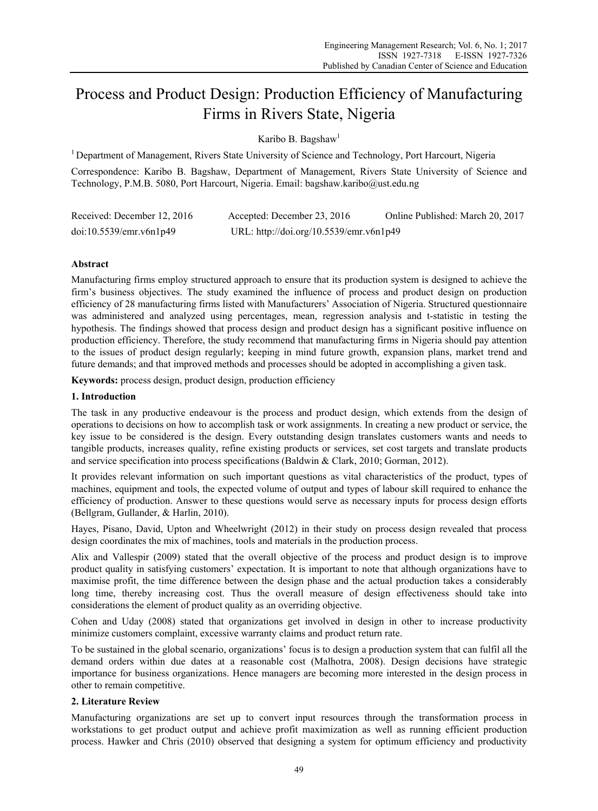# Process and Product Design: Production Efficiency of Manufacturing Firms in Rivers State, Nigeria

Karibo B. Bagshaw<sup>1</sup>

<sup>1</sup> Department of Management, Rivers State University of Science and Technology, Port Harcourt, Nigeria

Correspondence: Karibo B. Bagshaw, Department of Management, Rivers State University of Science and Technology, P.M.B. 5080, Port Harcourt, Nigeria. Email: bagshaw.karibo@ust.edu.ng

| Received: December 12, 2016 | Accepted: December 23, 2016             | Online Published: March 20, 2017 |
|-----------------------------|-----------------------------------------|----------------------------------|
| doi:10.5539/emr.v6n1p49     | URL: http://doi.org/10.5539/emr.v6n1p49 |                                  |

# **Abstract**

Manufacturing firms employ structured approach to ensure that its production system is designed to achieve the firm's business objectives. The study examined the influence of process and product design on production efficiency of 28 manufacturing firms listed with Manufacturers' Association of Nigeria. Structured questionnaire was administered and analyzed using percentages, mean, regression analysis and t-statistic in testing the hypothesis. The findings showed that process design and product design has a significant positive influence on production efficiency. Therefore, the study recommend that manufacturing firms in Nigeria should pay attention to the issues of product design regularly; keeping in mind future growth, expansion plans, market trend and future demands; and that improved methods and processes should be adopted in accomplishing a given task.

**Keywords:** process design, product design, production efficiency

#### **1. Introduction**

The task in any productive endeavour is the process and product design, which extends from the design of operations to decisions on how to accomplish task or work assignments. In creating a new product or service, the key issue to be considered is the design. Every outstanding design translates customers wants and needs to tangible products, increases quality, refine existing products or services, set cost targets and translate products and service specification into process specifications (Baldwin & Clark, 2010; Gorman, 2012).

It provides relevant information on such important questions as vital characteristics of the product, types of machines, equipment and tools, the expected volume of output and types of labour skill required to enhance the efficiency of production. Answer to these questions would serve as necessary inputs for process design efforts (Bellgram, Gullander, & Harlin, 2010).

Hayes, Pisano, David, Upton and Wheelwright (2012) in their study on process design revealed that process design coordinates the mix of machines, tools and materials in the production process.

Alix and Vallespir (2009) stated that the overall objective of the process and product design is to improve product quality in satisfying customers' expectation. It is important to note that although organizations have to maximise profit, the time difference between the design phase and the actual production takes a considerably long time, thereby increasing cost. Thus the overall measure of design effectiveness should take into considerations the element of product quality as an overriding objective.

Cohen and Uday (2008) stated that organizations get involved in design in other to increase productivity minimize customers complaint, excessive warranty claims and product return rate.

To be sustained in the global scenario, organizations' focus is to design a production system that can fulfil all the demand orders within due dates at a reasonable cost (Malhotra, 2008). Design decisions have strategic importance for business organizations. Hence managers are becoming more interested in the design process in other to remain competitive.

## **2. Literature Review**

Manufacturing organizations are set up to convert input resources through the transformation process in workstations to get product output and achieve profit maximization as well as running efficient production process. Hawker and Chris (2010) observed that designing a system for optimum efficiency and productivity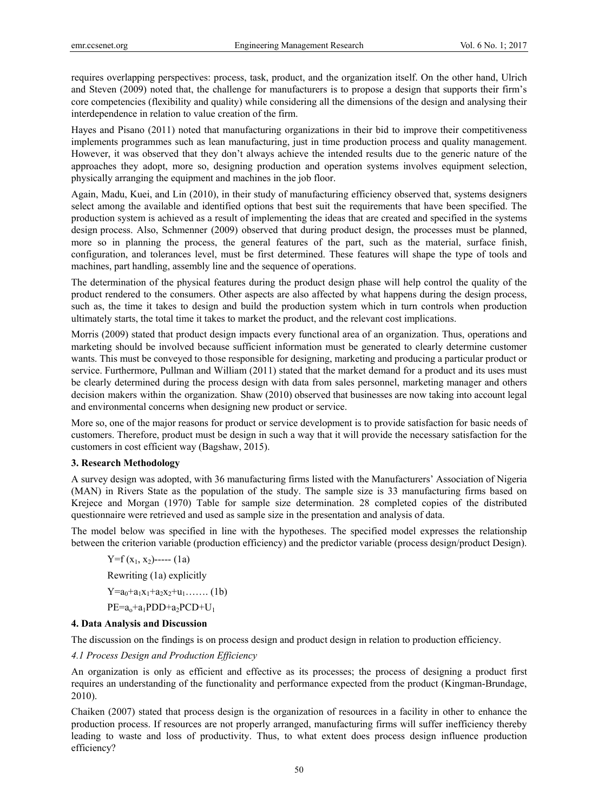requires overlapping perspectives: process, task, product, and the organization itself. On the other hand, Ulrich and Steven (2009) noted that, the challenge for manufacturers is to propose a design that supports their firm's core competencies (flexibility and quality) while considering all the dimensions of the design and analysing their interdependence in relation to value creation of the firm.

Hayes and Pisano (2011) noted that manufacturing organizations in their bid to improve their competitiveness implements programmes such as lean manufacturing, just in time production process and quality management. However, it was observed that they don't always achieve the intended results due to the generic nature of the approaches they adopt, more so, designing production and operation systems involves equipment selection, physically arranging the equipment and machines in the job floor.

Again, Madu, Kuei, and Lin (2010), in their study of manufacturing efficiency observed that, systems designers select among the available and identified options that best suit the requirements that have been specified. The production system is achieved as a result of implementing the ideas that are created and specified in the systems design process. Also, Schmenner (2009) observed that during product design, the processes must be planned, more so in planning the process, the general features of the part, such as the material, surface finish, configuration, and tolerances level, must be first determined. These features will shape the type of tools and machines, part handling, assembly line and the sequence of operations.

The determination of the physical features during the product design phase will help control the quality of the product rendered to the consumers. Other aspects are also affected by what happens during the design process, such as, the time it takes to design and build the production system which in turn controls when production ultimately starts, the total time it takes to market the product, and the relevant cost implications.

Morris (2009) stated that product design impacts every functional area of an organization. Thus, operations and marketing should be involved because sufficient information must be generated to clearly determine customer wants. This must be conveyed to those responsible for designing, marketing and producing a particular product or service. Furthermore, Pullman and William (2011) stated that the market demand for a product and its uses must be clearly determined during the process design with data from sales personnel, marketing manager and others decision makers within the organization. Shaw (2010) observed that businesses are now taking into account legal and environmental concerns when designing new product or service.

More so, one of the major reasons for product or service development is to provide satisfaction for basic needs of customers. Therefore, product must be design in such a way that it will provide the necessary satisfaction for the customers in cost efficient way (Bagshaw, 2015).

## **3. Research Methodology**

A survey design was adopted, with 36 manufacturing firms listed with the Manufacturers' Association of Nigeria (MAN) in Rivers State as the population of the study. The sample size is 33 manufacturing firms based on Krejece and Morgan (1970) Table for sample size determination. 28 completed copies of the distributed questionnaire were retrieved and used as sample size in the presentation and analysis of data.

The model below was specified in line with the hypotheses. The specified model expresses the relationship between the criterion variable (production efficiency) and the predictor variable (process design/product Design).

 $Y=f(x_1, x_2)$ ----- (1a) Rewriting (1a) explicitly  $Y=a_0+a_1x_1+a_2x_2+a_1...$  (1b)  $PE=a_0+a_1PDD+a_2PCD+U_1$ 

## **4. Data Analysis and Discussion**

The discussion on the findings is on process design and product design in relation to production efficiency.

*4.1 Process Design and Production Efficiency* 

An organization is only as efficient and effective as its processes; the process of designing a product first requires an understanding of the functionality and performance expected from the product (Kingman-Brundage, 2010).

Chaiken (2007) stated that process design is the organization of resources in a facility in other to enhance the production process. If resources are not properly arranged, manufacturing firms will suffer inefficiency thereby leading to waste and loss of productivity. Thus, to what extent does process design influence production efficiency?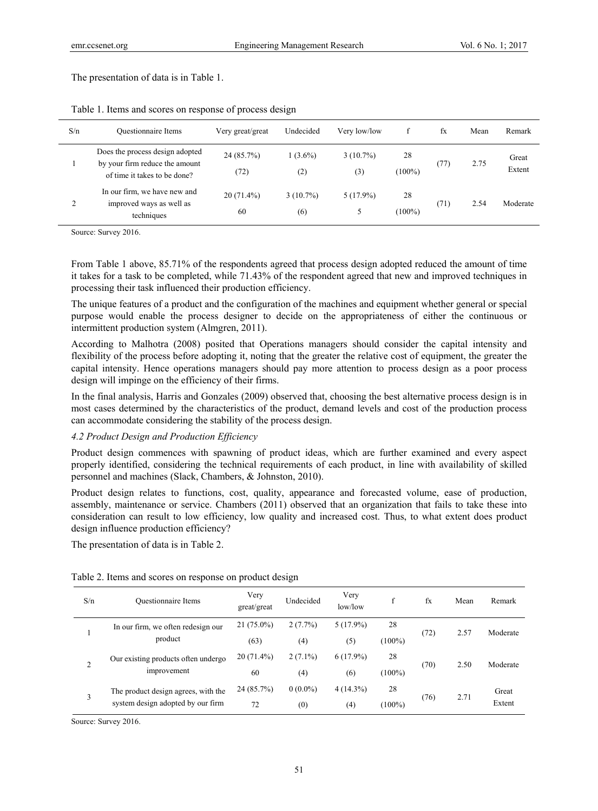The presentation of data is in Table 1.

| S/n | <b>Ouestionnaire Items</b>                                                                        | Very great/great   | Undecided          | Very low/low       |                 | fx   | Mean | Remark          |
|-----|---------------------------------------------------------------------------------------------------|--------------------|--------------------|--------------------|-----------------|------|------|-----------------|
|     | Does the process design adopted<br>by your firm reduce the amount<br>of time it takes to be done? | 24(85.7%)<br>(72)  | $1(3.6\%)$<br>(2)  | $3(10.7\%)$<br>(3) | 28<br>$(100\%)$ | (77) | 2.75 | Great<br>Extent |
| 2   | In our firm, we have new and<br>improved ways as well as<br>techniques                            | $20(71.4\%)$<br>60 | $3(10.7\%)$<br>(6) | $5(17.9\%)$<br>5   | 28<br>$(100\%)$ | (71) | 2.54 | Moderate        |

Table 1. Items and scores on response of process design

Source: Survey 2016.

From Table 1 above, 85.71% of the respondents agreed that process design adopted reduced the amount of time it takes for a task to be completed, while 71.43% of the respondent agreed that new and improved techniques in processing their task influenced their production efficiency.

The unique features of a product and the configuration of the machines and equipment whether general or special purpose would enable the process designer to decide on the appropriateness of either the continuous or intermittent production system (Almgren, 2011).

According to Malhotra (2008) posited that Operations managers should consider the capital intensity and flexibility of the process before adopting it, noting that the greater the relative cost of equipment, the greater the capital intensity. Hence operations managers should pay more attention to process design as a poor process design will impinge on the efficiency of their firms.

In the final analysis, Harris and Gonzales (2009) observed that, choosing the best alternative process design is in most cases determined by the characteristics of the product, demand levels and cost of the production process can accommodate considering the stability of the process design.

#### *4.2 Product Design and Production Efficiency*

Product design commences with spawning of product ideas, which are further examined and every aspect properly identified, considering the technical requirements of each product, in line with availability of skilled personnel and machines (Slack, Chambers, & Johnston, 2010).

Product design relates to functions, cost, quality, appearance and forecasted volume, ease of production, assembly, maintenance or service. Chambers (2011) observed that an organization that fails to take these into consideration can result to low efficiency, low quality and increased cost. Thus, to what extent does product design influence production efficiency?

The presentation of data is in Table 2.

| Table 2. Items and scores on response on product design |  |  |  |  |  |  |  |  |  |  |  |  |
|---------------------------------------------------------|--|--|--|--|--|--|--|--|--|--|--|--|
|---------------------------------------------------------|--|--|--|--|--|--|--|--|--|--|--|--|

| S/n                                | Questionnaire Items                 | Very<br>great/great | Undecided  | Very<br>low/low | f         | fx   | Mean | Remark   |
|------------------------------------|-------------------------------------|---------------------|------------|-----------------|-----------|------|------|----------|
| In our firm, we often redesign our |                                     | $21(75.0\%)$        | $2(7.7\%)$ | $5(17.9\%)$     | 28        | (72) | 2.57 | Moderate |
| product                            |                                     | (63)                | (4)        | (5)             | $(100\%)$ |      |      |          |
|                                    | Our existing products often undergo | $20(71.4\%)$        | $2(7.1\%)$ | $6(17.9\%)$     | 28        |      |      |          |
| $\overline{c}$                     | improvement                         | 60                  | (4)        | (6)             | $(100\%)$ | (70) | 2.50 | Moderate |
|                                    | The product design agrees, with the | 24 (85.7%)          | $0(0.0\%)$ | $4(14.3\%)$     | 28        |      |      | Great    |
| 3                                  | system design adopted by our firm   | 72                  | (0)        | (4)             | $(100\%)$ | (76) | 2.71 | Extent   |

Source: Survey 2016.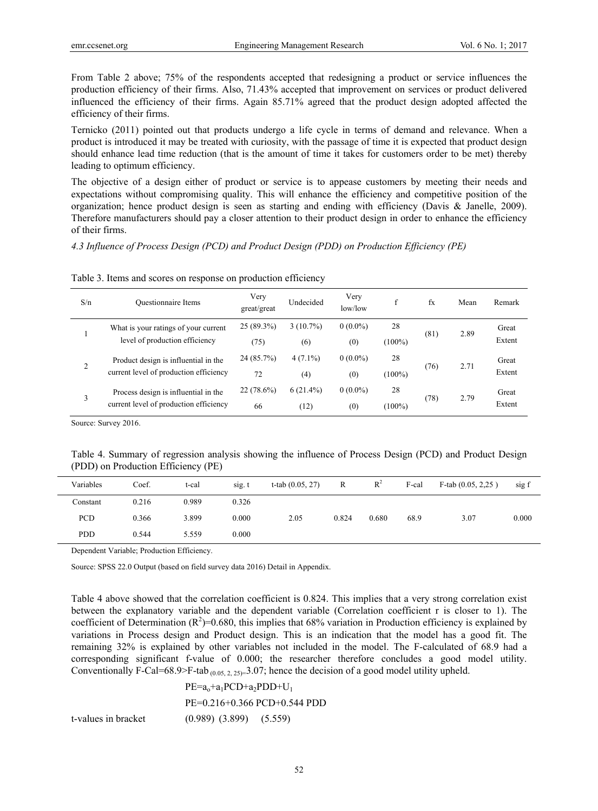From Table 2 above; 75% of the respondents accepted that redesigning a product or service influences the production efficiency of their firms. Also, 71.43% accepted that improvement on services or product delivered influenced the efficiency of their firms. Again 85.71% agreed that the product design adopted affected the efficiency of their firms.

Ternicko (2011) pointed out that products undergo a life cycle in terms of demand and relevance. When a product is introduced it may be treated with curiosity, with the passage of time it is expected that product design should enhance lead time reduction (that is the amount of time it takes for customers order to be met) thereby leading to optimum efficiency.

The objective of a design either of product or service is to appease customers by meeting their needs and expectations without compromising quality. This will enhance the efficiency and competitive position of the organization; hence product design is seen as starting and ending with efficiency (Davis & Janelle, 2009). Therefore manufacturers should pay a closer attention to their product design in order to enhance the efficiency of their firms.

*4.3 Influence of Process Design (PCD) and Product Design (PDD) on Production Efficiency (PE)* 

|  |  | Table 3. Items and scores on response on production efficiency |  |
|--|--|----------------------------------------------------------------|--|
|  |  |                                                                |  |

| S/n            | <b>Ouestionnaire Items</b>                                                     | Very<br>great/great  | Undecided           | Very<br>low/low   | f               | fx   | Mean | Remark          |
|----------------|--------------------------------------------------------------------------------|----------------------|---------------------|-------------------|-----------------|------|------|-----------------|
|                | What is your ratings of your current<br>level of production efficiency         | $25(89.3\%)$<br>(75) | $3(10.7\%)$<br>(6)  | $0(0.0\%)$<br>(0) | 28<br>$(100\%)$ | (81) | 2.89 | Great<br>Extent |
| $\overline{2}$ | Product design is influential in the<br>current level of production efficiency | 24(85.7%)<br>72      | $4(7.1\%)$<br>(4)   | $0(0.0\%)$<br>(0) | 28<br>$(100\%)$ | (76) | 2.71 | Great<br>Extent |
| 3              | Process design is influential in the<br>current level of production efficiency | $22(78.6\%)$<br>66   | $6(21.4\%)$<br>(12) | $0(0.0\%)$<br>(0) | 28<br>$(100\%)$ | (78) | 2.79 | Great<br>Extent |

Source: Survey 2016.

|  | Table 4. Summary of regression analysis showing the influence of Process Design (PCD) and Product Design |  |  |  |  |  |  |
|--|----------------------------------------------------------------------------------------------------------|--|--|--|--|--|--|
|  | (PDD) on Production Efficiency (PE)                                                                      |  |  |  |  |  |  |

| Variables  | Coef. | t-cal | sig. t | t-tab $(0.05, 27)$ | R     | $R^2$ | F-cal | F-tab $(0.05, 2.25)$ | sig f |
|------------|-------|-------|--------|--------------------|-------|-------|-------|----------------------|-------|
| Constant   | 0.216 | 0.989 | 0.326  |                    |       |       |       |                      |       |
| PCD        | 0.366 | 3.899 | 0.000  | 2.05               | 0.824 | 0.680 | 68.9  | 3.07                 | 0.000 |
| <b>PDD</b> | 0.544 | 5.559 | 0.000  |                    |       |       |       |                      |       |

Dependent Variable; Production Efficiency.

Source: SPSS 22.0 Output (based on field survey data 2016) Detail in Appendix.

Table 4 above showed that the correlation coefficient is 0.824. This implies that a very strong correlation exist between the explanatory variable and the dependent variable (Correlation coefficient r is closer to 1). The coefficient of Determination  $(R^2)$ =0.680, this implies that 68% variation in Production efficiency is explained by variations in Process design and Product design. This is an indication that the model has a good fit. The remaining 32% is explained by other variables not included in the model. The F-calculated of 68.9 had a corresponding significant f-value of 0.000; the researcher therefore concludes a good model utility. Conventionally F-Cal=68.9>F-tab  $_{(0.05, 2.25)=}$  3.07; hence the decision of a good model utility upheld.

 $PE=a_0+a_1PCD+a_2PDD+U_1$  PE=0.216+0.366 PCD+0.544 PDD t-values in bracket (0.989) (3.899) (5.559)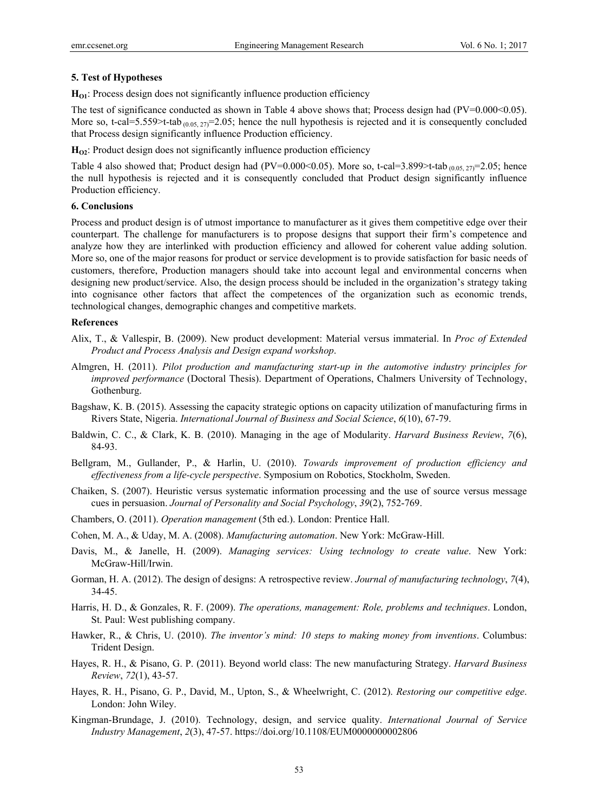#### **5. Test of Hypotheses**

**H<sub>O1</sub>**: Process design does not significantly influence production efficiency

The test of significance conducted as shown in Table 4 above shows that; Process design had  $(V=0.000<0.05)$ . More so, t-cal=5.559>t-tab  $(0.05, 27)$ =2.05; hence the null hypothesis is rejected and it is consequently concluded that Process design significantly influence Production efficiency.

**H**<sub>O2</sub>: Product design does not significantly influence production efficiency

Table 4 also showed that; Product design had (PV=0.000<0.05). More so, t-cal=3.899>t-tab  $_{(0.05, 27)}$ =2.05; hence the null hypothesis is rejected and it is consequently concluded that Product design significantly influence Production efficiency.

# **6. Conclusions**

Process and product design is of utmost importance to manufacturer as it gives them competitive edge over their counterpart. The challenge for manufacturers is to propose designs that support their firm's competence and analyze how they are interlinked with production efficiency and allowed for coherent value adding solution. More so, one of the major reasons for product or service development is to provide satisfaction for basic needs of customers, therefore, Production managers should take into account legal and environmental concerns when designing new product/service. Also, the design process should be included in the organization's strategy taking into cognisance other factors that affect the competences of the organization such as economic trends, technological changes, demographic changes and competitive markets.

#### **References**

- Alix, T., & Vallespir, B. (2009). New product development: Material versus immaterial. In *Proc of Extended Product and Process Analysis and Design expand workshop*.
- Almgren, H. (2011). *Pilot production and manufacturing start-up in the automotive industry principles for improved performance* (Doctoral Thesis). Department of Operations, Chalmers University of Technology, Gothenburg.
- Bagshaw, K. B. (2015). Assessing the capacity strategic options on capacity utilization of manufacturing firms in Rivers State, Nigeria. *International Journal of Business and Social Science*, *6*(10), 67-79.
- Baldwin, C. C., & Clark, K. B. (2010). Managing in the age of Modularity. *Harvard Business Review*, *7*(6), 84-93.
- Bellgram, M., Gullander, P., & Harlin, U. (2010). *Towards improvement of production efficiency and effectiveness from a life-cycle perspective*. Symposium on Robotics, Stockholm, Sweden.
- Chaiken, S. (2007). Heuristic versus systematic information processing and the use of source versus message cues in persuasion. *Journal of Personality and Social Psychology*, *39*(2), 752-769.
- Chambers, O. (2011). *Operation management* (5th ed.). London: Prentice Hall.
- Cohen, M. A., & Uday, M. A. (2008). *Manufacturing automation*. New York: McGraw-Hill.
- Davis, M., & Janelle, H. (2009). *Managing services: Using technology to create value*. New York: McGraw-Hill/Irwin.
- Gorman, H. A. (2012). The design of designs: A retrospective review. *Journal of manufacturing technology*, *7*(4), 34-45.
- Harris, H. D., & Gonzales, R. F. (2009). *The operations, management: Role, problems and techniques*. London, St. Paul: West publishing company.
- Hawker, R., & Chris, U. (2010). *The inventor's mind: 10 steps to making money from inventions*. Columbus: Trident Design.
- Hayes, R. H., & Pisano, G. P. (2011). Beyond world class: The new manufacturing Strategy. *Harvard Business Review*, *72*(1), 43-57.
- Hayes, R. H., Pisano, G. P., David, M., Upton, S., & Wheelwright, C. (2012). *Restoring our competitive edge*. London: John Wiley.
- Kingman-Brundage, J. (2010). Technology, design, and service quality. *International Journal of Service Industry Management*, *2*(3), 47-57. https://doi.org/10.1108/EUM0000000002806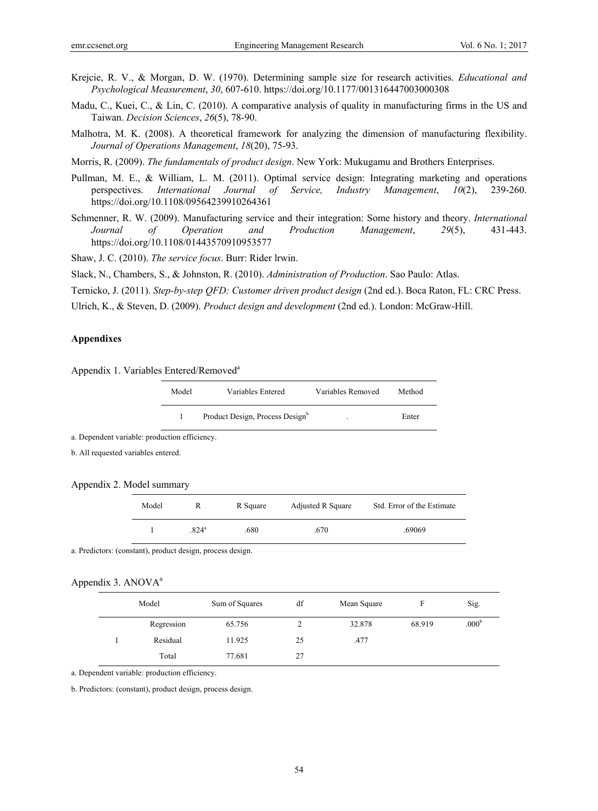- Krejcie, R. V., & Morgan, D. W. (1970). Determining sample size for research activities. *Educational and Psychological Measurement*, *30*, 607-610. https://doi.org/10.1177/001316447003000308
- Madu, C., Kuei, C., & Lin, C. (2010). A comparative analysis of quality in manufacturing firms in the US and Taiwan. *Decision Sciences*, *26*(5), 78-90.
- Malhotra, M. K. (2008). A theoretical framework for analyzing the dimension of manufacturing flexibility. *Journal of Operations Management*, *18*(20), 75-93.
- Morris, R. (2009). *The fundamentals of product design*. New York: Mukugamu and Brothers Enterprises.
- Pullman, M. E., & William, L. M. (2011). Optimal service design: Integrating marketing and operations perspectives. *International Journal of Service, Industry Management*, *10*(2), 239-260. https://doi.org/10.1108/09564239910264361
- Schmenner, R. W. (2009). Manufacturing service and their integration: Some history and theory. *International Journal of Operation and Production Management*, *29*(5), 431-443. https://doi.org/10.1108/01443570910953577

Shaw, J. C. (2010). *The service focus*. Burr: Rider lrwin.

Slack, N., Chambers, S., & Johnston, R. (2010). *Administration of Production*. Sao Paulo: Atlas.

- Ternicko, J. (2011). *Step-by-step QFD: Customer driven product design* (2nd ed.). Boca Raton, FL: CRC Press.
- Ulrich, K., & Steven, D. (2009). *Product design and development* (2nd ed.). London: McGraw-Hill.

#### **Appendixes**

Appendix 1. Variables Entered/Removed<sup>a</sup>

| Model | Variables Entered               | Variables Removed | Method |
|-------|---------------------------------|-------------------|--------|
|       | Product Design, Process Designb | ٠                 | Enter  |

a. Dependent variable: production efficiency.

b. All requested variables entered.

| Appendix 2. Model summary |  |  |
|---------------------------|--|--|
|---------------------------|--|--|

| Model | R             | R Square | <b>Adjusted R Square</b> | Std. Error of the Estimate |
|-------|---------------|----------|--------------------------|----------------------------|
|       | $824^{\circ}$ | .680     | .670                     | .69069                     |

a. Predictors: (constant), product design, process design.

#### Appendix 3. ANOVA<sup>a</sup>

| Model      | Sum of Squares | df | Mean Square |        | Sig.              |
|------------|----------------|----|-------------|--------|-------------------|
| Regression | 65.756         | 2  | 32.878      | 68.919 | .000 <sup>b</sup> |
| Residual   | 11.925         | 25 | .477        |        |                   |
| Total      | 77.681         | 27 |             |        |                   |

a. Dependent variable: production efficiency.

b. Predictors: (constant), product design, process design.